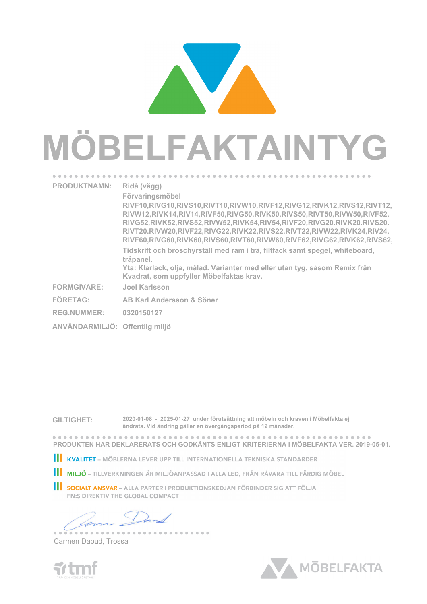## **MÖBELFAKTAINTYG PRODUKTNAMN: Ridå (vägg)**

**Tidskrift och broschyrställ med ram i trä, filtfack samt spegel, whiteboard, RIVT62,RIVW62.RIVK64.RIV64, 10ek.20bförk.50målad träpanel. Yta: Klarlack, olja, målad. Varianter med eller utan tyg, såsom Remix från Kvadrat, som uppfyller Möbelfaktas krav. RIVF10,RIVG10,RIVS10,RIVT10,RIVW10,RIVF12,RIVG12,RIVK12,RIVS12,RIVT12, RIVW12,RIVK14,RIV14,RIVF50,RIVG50,RIVK50,RIVS50,RIVT50,RIVW50,RIVF52, RIVG52,RIVK52,RIVS52,RIVW52,RIVK54,RIV54,RIVF20,RIVG20.RIVK20.RIVS20. RIVT20.RIVW20,RIVF22,RIVG22,RIVK22,RIVS22,RIVT22,RIVW22,RIVK24,RIV24, RIVF60,RIVG60,RIVK60,RIVS60,RIVT60,RIVW60,RIVF62,RIVG62,RIVK62,RIVS62, Förvaringsmöbel FORMGIVARE: Joel Karlsson FÖRETAG: AB Karl Andersson & Söner REG.NUMMER: 0320150127**

**ANVÄNDARMILJÖ: Offentlig miljö**

**GILTIGHET: 2020-01-08 - 2025-01-27 under förutsättning att möbeln och kraven i Möbelfakta ej ändrats. Vid ändring gäller en övergångsperiod på 12 månader.**

**PRODUKTEN HAR DEKLARERATS OCH GODKÄNTS ENLIGT KRITERIERNA I MÖBELFAKTA VER. 2019-05-01.**

KVALITET – MÖBLERNA LEVER UPP TILL INTERNATIONELLA TEKNISKA STANDARDER

**II MILJÖ** – TILLVERKNINGEN ÄR MILJÖANPASSAD I ALLA LED, FRÅN RÅVARA TILL FÄRDIG MÖBEL

**SOCIALT ANSVAR** – ALLA PARTER I PRODUKTIONSKEDJAN FÖRBINDER SIG ATT FÖLJA **FN:S DIREKTIV THE GLOBAL COMPACT** 

--------